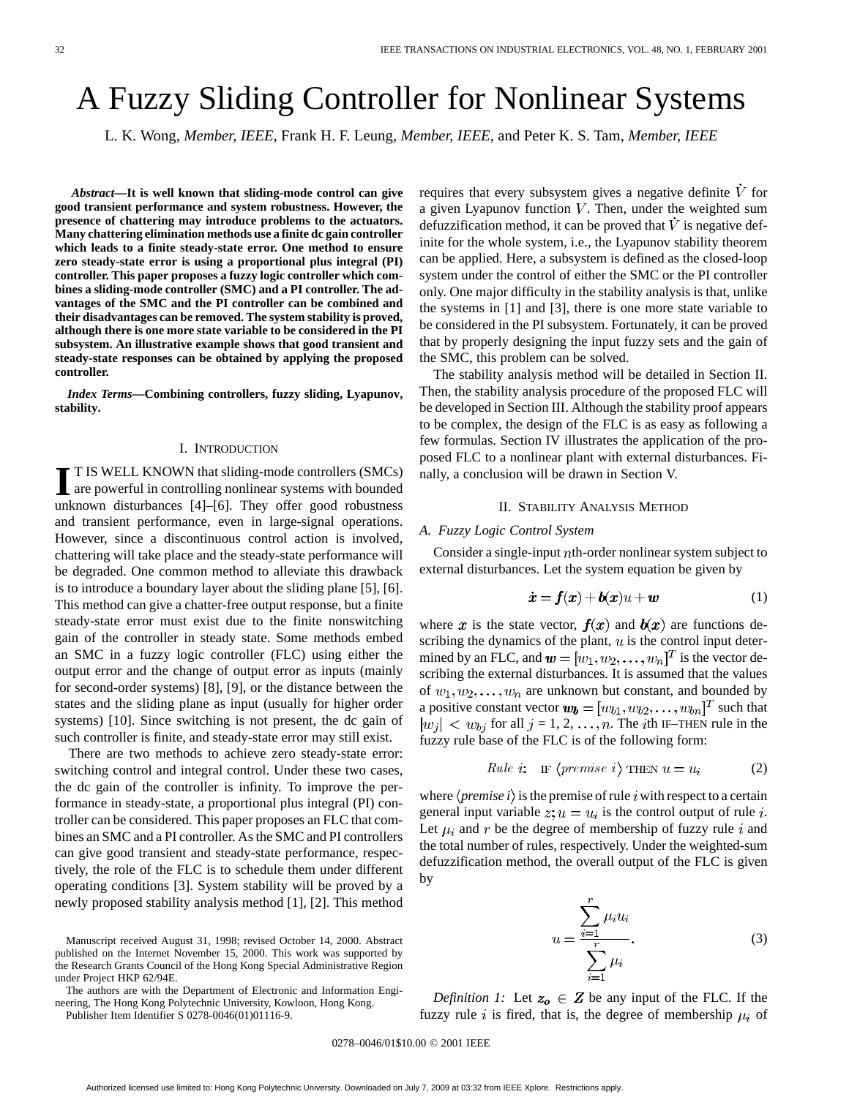# A Fuzzy Sliding Controller for Nonlinear Systems

L. K. Wong*, Member, IEEE*, Frank H. F. Leung*, Member, IEEE*, and Peter K. S. Tam*, Member, IEEE*

*Abstract—***It is well known that sliding-mode control can give good transient performance and system robustness. However, the presence of chattering may introduce problems to the actuators. Many chattering elimination methods use a finite dc gain controller which leads to a finite steady-state error. One method to ensure zero steady-state error is using a proportional plus integral (PI) controller. This paper proposes a fuzzy logic controller which combines a sliding-mode controller (SMC) and a PI controller. The advantages of the SMC and the PI controller can be combined and their disadvantages can be removed. The system stability is proved, although there is one more state variable to be considered in the PI subsystem. An illustrative example shows that good transient and steady-state responses can be obtained by applying the proposed controller.**

*Index Terms—***Combining controllers, fuzzy sliding, Lyapunov, stability.**

#### I. INTRODUCTION

**I** T IS WELL KNOWN that sliding-mode controllers (SMCs) are powerful in controlling nonlinear systems with bounded unknown disturbances [4]–[6]. They offer good robustness and transient performance, even in large-signal operations. However, since a discontinuous control action is involved, chattering will take place and the steady-state performance will be degraded. One common method to alleviate this drawback is to introduce a boundary layer about the sliding plane [5], [6]. This method can give a chatter-free output response, but a finite steady-state error must exist due to the finite nonswitching gain of the controller in steady state. Some methods embed an SMC in a fuzzy logic controller (FLC) using either the output error and the change of output error as inputs (mainly for second-order systems) [8], [9], or the distance between the states and the sliding plane as input (usually for higher order systems) [10]. Since switching is not present, the dc gain of such controller is finite, and steady-state error may still exist.

There are two methods to achieve zero steady-state error: switching control and integral control. Under these two cases, the dc gain of the controller is infinity. To improve the performance in steady-state, a proportional plus integral (PI) controller can be considered. This paper proposes an FLC that combines an SMC and a PI controller. As the SMC and PI controllers can give good transient and steady-state performance, respectively, the role of the FLC is to schedule them under different operating conditions [3]. System stability will be proved by a newly proposed stability analysis method [1], [2]. This method

Manuscript received August 31, 1998; revised October 14, 2000. Abstract published on the Internet November 15, 2000. This work was supported by the Research Grants Council of the Hong Kong Special Administrative Region under Project HKP 62/94E.

The authors are with the Department of Electronic and Information Engineering, The Hong Kong Polytechnic University, Kowloon, Hong Kong.

Publisher Item Identifier S 0278-0046(01)01116-9.

requires that every subsystem gives a negative definite  $\dot{V}$  for a given Lyapunov function  $V$ . Then, under the weighted sum defuzzification method, it can be proved that  $V$  is negative definite for the whole system, i.e., the Lyapunov stability theorem can be applied. Here, a subsystem is defined as the closed-loop system under the control of either the SMC or the PI controller only. One major difficulty in the stability analysis is that, unlike the systems in [1] and [3], there is one more state variable to be considered in the PI subsystem. Fortunately, it can be proved that by properly designing the input fuzzy sets and the gain of the SMC, this problem can be solved.

The stability analysis method will be detailed in Section II. Then, the stability analysis procedure of the proposed FLC will be developed in Section III. Although the stability proof appears to be complex, the design of the FLC is as easy as following a few formulas. Section IV illustrates the application of the proposed FLC to a nonlinear plant with external disturbances. Finally, a conclusion will be drawn in Section V.

## II. STABILITY ANALYSIS METHOD

#### *A. Fuzzy Logic Control System*

Consider a single-input *th-order nonlinear system subject to* external disturbances. Let the system equation be given by

$$
\dot{x} = f(x) + b(x)u + w \tag{1}
$$

where x is the state vector,  $f(x)$  and  $b(x)$  are functions describing the dynamics of the plant,  $u$  is the control input determined by an FLC, and  $\mathbf{w} = [w_1, w_2, \dots, w_n]^T$  is the vector describing the external disturbances. It is assumed that the values of  $w_1, w_2, \ldots, w_n$  are unknown but constant, and bounded by a positive constant vector  $\mathbf{w_b} = [w_{b1}, w_{b2}, \dots, w_{bn}]^T$  such that  $|w_j| < w_{bj}$  for all  $j = 1, 2, ..., n$ . The *i*th IF–THEN rule in the fuzzy rule base of the FLC is of the following form:

*Rule i:* IF 
$$
\langle \text{premise } i \rangle
$$
 THEN  $u = u_i$  (2)

where  $\langle$ *premise i* $\rangle$  is the premise of rule *i* with respect to a certain general input variable  $z; u = u_i$  is the control output of rule *i*. Let  $\mu_i$  and r be the degree of membership of fuzzy rule i and the total number of rules, respectively. Under the weighted-sum defuzzification method, the overall output of the FLC is given by

$$
u = \frac{\sum_{i=1}^{r} \mu_i u_i}{\sum_{i=1}^{r} \mu_i}.
$$
 (3)

*Definition 1:* Let  $z_o \in Z$  be any input of the FLC. If the fuzzy rule i is fired, that is, the degree of membership  $\mu_i$  of

0278–0046/01\$10.00 © 2001 IEEE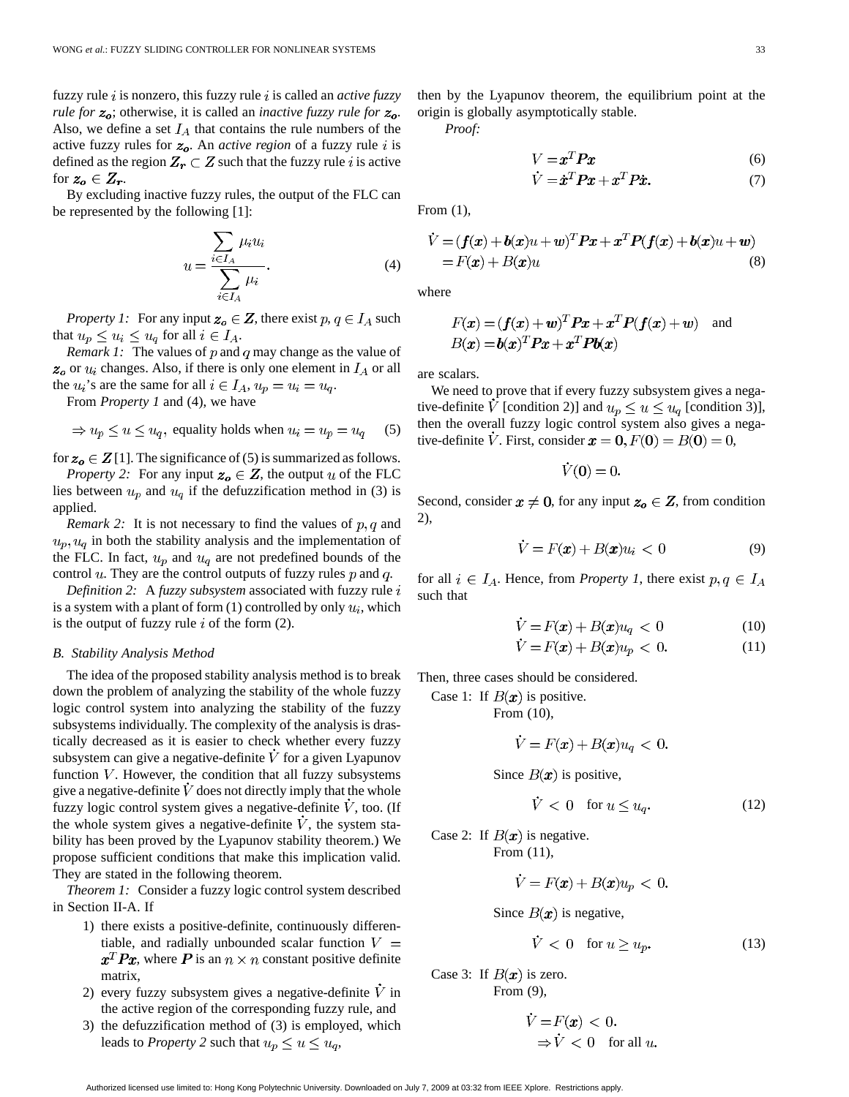fuzzy rule is nonzero, this fuzzy rule is called an *active fuzzy rule for*  $z_o$ ; otherwise, it is called an *inactive fuzzy rule for*  $z_o$ . Also, we define a set  $I_A$  that contains the rule numbers of the active fuzzy rules for  $z<sub>o</sub>$ . An *active region* of a fuzzy rule i is defined as the region  $Z_r \subset Z$  such that the fuzzy rule i is active for  $z_o \in Z_r$ .

By excluding inactive fuzzy rules, the output of the FLC can be represented by the following [1]:

$$
u = \frac{\sum_{i \in I_A} \mu_i u_i}{\sum_{i \in I_A} \mu_i}.
$$
 (4)

*Property 1:* For any input  $z_o \in Z$ , there exist  $p, q \in I_A$  such that  $u_p \leq u_i \leq u_q$  for all  $i \in I_A$ .

*Remark 1:* The values of  $p$  and  $q$  may change as the value of  $z<sub>o</sub>$  or  $u<sub>i</sub>$  changes. Also, if there is only one element in  $I<sub>A</sub>$  or all the  $u_i$ 's are the same for all  $i \in I_A$ ,  $u_p = u_i = u_q$ .

From *Property 1* and (4), we have

$$
\Rightarrow u_p \le u \le u_q
$$
, equality holds when  $u_i = u_p = u_q$  (5)

for  $z_0 \in \mathbf{Z}[1]$ . The significance of (5) is summarized as follows.

*Property 2:* For any input  $z_o \in Z$ , the output u of the FLC lies between  $u_p$  and  $u_q$  if the defuzzification method in (3) is applied.

*Remark 2:* It is not necessary to find the values of  $p, q$  and  $u_p, u_q$  in both the stability analysis and the implementation of the FLC. In fact,  $u_p$  and  $u_q$  are not predefined bounds of the control  $u$ . They are the control outputs of fuzzy rules  $p$  and  $q$ .

*Definition 2:* A *fuzzy subsystem* associated with fuzzy rule is a system with a plant of form  $(1)$  controlled by only  $u_i$ , which is the output of fuzzy rule  $i$  of the form (2).

### *B. Stability Analysis Method*

The idea of the proposed stability analysis method is to break down the problem of analyzing the stability of the whole fuzzy logic control system into analyzing the stability of the fuzzy subsystems individually. The complexity of the analysis is drastically decreased as it is easier to check whether every fuzzy subsystem can give a negative-definite  $V$  for a given Lyapunov function  $V$ . However, the condition that all fuzzy subsystems give a negative-definite  $\dot{V}$  does not directly imply that the whole fuzzy logic control system gives a negative-definite  $V$ , too. (If the whole system gives a negative-definite  $\dot{V}$ , the system stability has been proved by the Lyapunov stability theorem.) We propose sufficient conditions that make this implication valid. They are stated in the following theorem.

*Theorem 1:* Consider a fuzzy logic control system described in Section II-A. If

- 1) there exists a positive-definite, continuously differentiable, and radially unbounded scalar function  $V =$  $x^T P x$ , where P is an  $n \times n$  constant positive definite matrix,
- 2) every fuzzy subsystem gives a negative-definite  $V$  in the active region of the corresponding fuzzy rule, and
- 3) the defuzzification method of (3) is employed, which leads to *Property* 2 such that  $u_p \le u \le u_q$ ,

then by the Lyapunov theorem, the equilibrium point at the origin is globally asymptotically stable.

*Proof:*

$$
V = xT Px
$$
  
\n
$$
\dot{V} = \dot{x}^T Px + x^T P \dot{x}.
$$
\n(6)

From (1),

$$
\dot{V} = (f(x) + b(x)u + w)^T P x + x^T P(f(x) + b(x)u + w)
$$
  
= F(x) + B(x)u (8)

where

$$
F(x) = (f(x) + w)^T P x + x^T P(f(x) + w)
$$
 and  

$$
B(x) = b(x)^T P x + x^T P b(x)
$$

are scalars.

We need to prove that if every fuzzy subsystem gives a negative-definite  $\hat{V}$  [condition 2)] and  $u_p \le u \le u_q$  [condition 3)], then the overall fuzzy logic control system also gives a negative-definite V. First, consider  $\mathbf{x} = 0, F(0) = B(0) = 0,$ 

$$
\dot{V}(\mathbf{0})=0.
$$

Second, consider  $x \neq 0$ , for any input  $z_o \in Z$ , from condition 2),

$$
\dot{V} = F(\mathbf{x}) + B(\mathbf{x})u_i < 0 \tag{9}
$$

for all  $i \in I_A$ . Hence, from *Property 1*, there exist  $p, q \in I_A$ such that

$$
\dot{V} = F(\mathbf{x}) + B(\mathbf{x})u_q < 0 \tag{10}
$$

$$
\dot{V} = F(\mathbf{x}) + B(\mathbf{x})u_p < 0. \tag{11}
$$

Then, three cases should be considered.

Case 1: If  $B(x)$  is positive.

From (10),

$$
V = F(\pmb{x}) + B(\pmb{x})u_q < 0.
$$

Since  $B(x)$  is positive,

$$
V < 0 \quad \text{for } u \le u_q. \tag{12}
$$

Case 2: If  $B(x)$  is negative.

From (11),

$$
\dot{V} = F(x) + B(x)u_p < 0.
$$

Since  $B(x)$  is negative,

$$
\dot{V} < 0 \quad \text{for } u \ge u_p. \tag{13}
$$

Case 3: If  $B(x)$  is zero. From (9),

$$
\dot{V} = F(\mathbf{x}) < 0.
$$
\n
$$
\Rightarrow \dot{V} < 0 \quad \text{for all } u
$$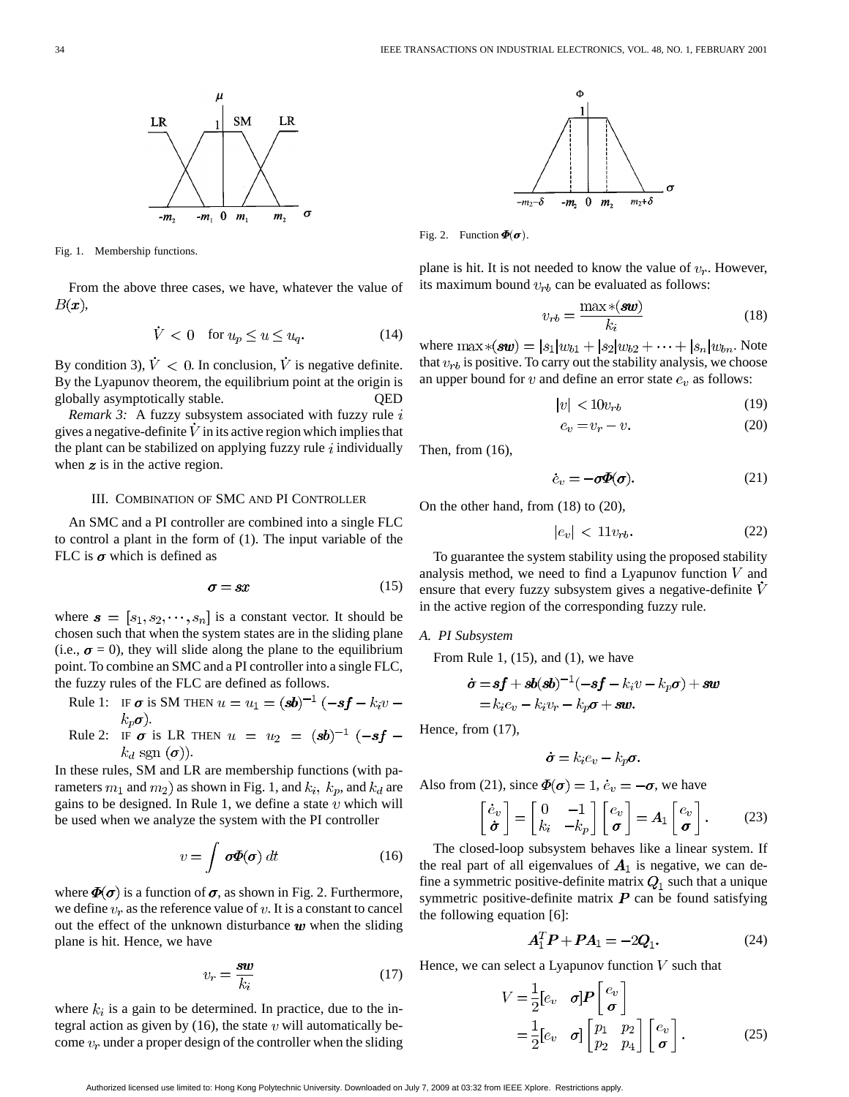

Fig. 1. Membership functions.

From the above three cases, we have, whatever the value of  $B(x),$ 

$$
V < 0 \quad \text{for } u_p \le u \le u_q. \tag{14}
$$

By condition 3),  $\dot{V} < 0$ . In conclusion,  $\dot{V}$  is negative definite. By the Lyapunov theorem, the equilibrium point at the origin is globally asymptotically stable. QED

*Remark 3:* A fuzzy subsystem associated with fuzzy rule i gives a negative-definite  $V$  in its active region which implies that the plant can be stabilized on applying fuzzy rule  $i$  individually when  $z$  is in the active region.

#### III. COMBINATION OF SMC AND PI CONTROLLER

An SMC and a PI controller are combined into a single FLC to control a plant in the form of (1). The input variable of the FLC is  $\sigma$  which is defined as

$$
\sigma = sx \tag{15}
$$

where  $\mathbf{s} = [s_1, s_2, \dots, s_n]$  is a constant vector. It should be chosen such that when the system states are in the sliding plane (i.e.,  $\sigma = 0$ ), they will slide along the plane to the equilibrium point. To combine an SMC and a PI controller into a single FLC, the fuzzy rules of the FLC are defined as follows.

Rule 1: IF 
$$
\sigma
$$
 is SM THEN  $u = u_1 = (sb)^{-1} (-sf - k_i v - k_p \sigma)$ .

Rule 2: IF  $\sigma$  is LR THEN  $u = u_2 = (sb)^{-1} (-sf$  $k_d$  sgn  $(\boldsymbol{\sigma})$ ).

In these rules, SM and LR are membership functions (with parameters  $m_1$  and  $m_2$ ) as shown in Fig. 1, and  $k_i$ ,  $k_p$ , and  $k_d$  are gains to be designed. In Rule 1, we define a state  $v$  which will be used when we analyze the system with the PI controller

$$
v = \int \boldsymbol{\sigma} \boldsymbol{\Phi}(\boldsymbol{\sigma}) dt
$$
 (16)

where  $\Phi(\sigma)$  is a function of  $\sigma$ , as shown in Fig. 2. Furthermore, we define  $v_r$  as the reference value of v. It is a constant to cancel out the effect of the unknown disturbance  $w$  when the sliding plane is hit. Hence, we have

$$
v_r = \frac{\mathbf{sw}}{k_i} \tag{17}
$$

where  $k_i$  is a gain to be determined. In practice, due to the integral action as given by (16), the state  $v$  will automatically become  $v_r$  under a proper design of the controller when the sliding



Fig. 2. Function  $\Phi(\sigma)$ .

plane is hit. It is not needed to know the value of  $v_r$ . However, its maximum bound  $v_{rb}$  can be evaluated as follows:

$$
v_{rb} = \frac{\max * (\mathbf{sw})}{k_i} \tag{18}
$$

where  $\max \ast({\bf sw}) = |s_1|w_{b1} + |s_2|w_{b2} + \cdots + |s_n|w_{bn}$ . Note that  $v_{rb}$  is positive. To carry out the stability analysis, we choose an upper bound for  $v$  and define an error state  $e_v$  as follows:

$$
|v| < 10v_{rb} \tag{19}
$$

$$
e_v = v_r - v. \tag{20}
$$

Then, from (16),

$$
\dot{e}_v = -\sigma \Phi(\sigma). \tag{21}
$$

On the other hand, from (18) to (20),

$$
|e_v| < 11v_{rb}.\tag{22}
$$

To guarantee the system stability using the proposed stability analysis method, we need to find a Lyapunov function  $V$  and ensure that every fuzzy subsystem gives a negative-definite  $\dot{V}$ in the active region of the corresponding fuzzy rule.

#### *A. PI Subsystem*

From Rule 1,  $(15)$ , and  $(1)$ , we have

$$
\dot{\boldsymbol{\sigma}} = \boldsymbol{s}\boldsymbol{f} + \boldsymbol{s}\boldsymbol{b}(\boldsymbol{s}\boldsymbol{b})^{-1}(-\boldsymbol{s}\boldsymbol{f} - k_i v - k_p \boldsymbol{\sigma}) + \boldsymbol{s}\boldsymbol{w}
$$
  
=  $k_i e_v - k_i v_r - k_p \boldsymbol{\sigma} + \boldsymbol{s}\boldsymbol{w}$ .

Hence, from (17),

$$
\dot{\sigma}=k_i e_v-k_p \sigma.
$$

Also from (21), since  $\Phi(\sigma) = 1$ ,  $\dot{e}_v = -\sigma$ , we have

$$
\begin{bmatrix} \dot{e}_v \\ \dot{\boldsymbol{\sigma}} \end{bmatrix} = \begin{bmatrix} 0 & -1 \\ k_i & -k_p \end{bmatrix} \begin{bmatrix} e_v \\ \boldsymbol{\sigma} \end{bmatrix} = A_1 \begin{bmatrix} e_v \\ \boldsymbol{\sigma} \end{bmatrix}.
$$
 (23)

The closed-loop subsystem behaves like a linear system. If the real part of all eigenvalues of  $A_1$  is negative, we can define a symmetric positive-definite matrix  $Q_1$  such that a unique symmetric positive-definite matrix  $P$  can be found satisfying the following equation [6]:

$$
\boldsymbol{A}_1^T \boldsymbol{P} + \boldsymbol{P} \boldsymbol{A}_1 = -2\boldsymbol{Q}_1. \tag{24}
$$

Hence, we can select a Lyapunov function  $V$  such that

 $\mathbf{A}$ 

$$
V = \frac{1}{2} [e_v \quad \sigma] \boldsymbol{P} \begin{bmatrix} e_v \\ \sigma \end{bmatrix}
$$
  
=  $\frac{1}{2} [e_v \quad \sigma] \begin{bmatrix} p_1 & p_2 \\ p_2 & p_4 \end{bmatrix} \begin{bmatrix} e_v \\ \sigma \end{bmatrix}$ . (25)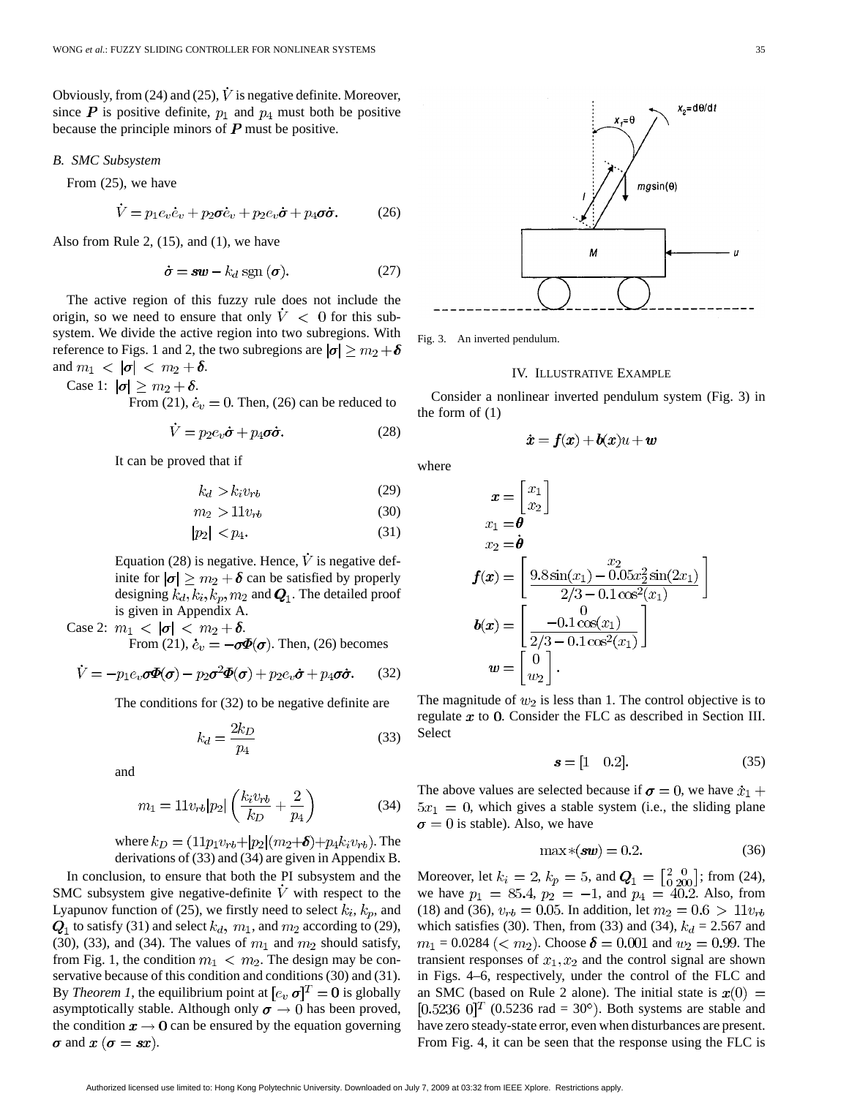Obviously, from (24) and (25),  $\dot{V}$  is negative definite. Moreover, since  $P$  is positive definite,  $p_1$  and  $p_4$  must both be positive because the principle minors of  $P$  must be positive.

## *B. SMC Subsystem*

From (25), we have

$$
\dot{V} = p_1 e_v \dot{e}_v + p_2 \sigma \dot{e}_v + p_2 e_v \dot{\sigma} + p_4 \sigma \dot{\sigma}.
$$
 (26)

Also from Rule 2, (15), and (1), we have

$$
\dot{\sigma} = sw - k_d \, \text{sgn} \, (\sigma). \tag{27}
$$

The active region of this fuzzy rule does not include the origin, so we need to ensure that only  $\dot{V} < 0$  for this subsystem. We divide the active region into two subregions. With reference to Figs. 1 and 2, the two subregions are  $|\sigma| \ge m_2 + \delta$ and  $m_1 < |\sigma| < m_2 + \delta$ .

Case 1: 
$$
|\boldsymbol{\sigma}| \ge m_2 + \delta
$$
.

From (21),  $\dot{e}_v = 0$ . Then, (26) can be reduced to

$$
\dot{V} = p_2 e_v \dot{\sigma} + p_4 \sigma \dot{\sigma}.
$$
 (28)

It can be proved that if

$$
k_d > k_i v_{rb}
$$

$$
m_2 > 11v_{rb} \tag{30}
$$

$$
|p_2| < p_4. \tag{31}
$$

Equation (28) is negative. Hence,  $\dot{V}$  is negative definite for  $|\sigma| \geq m_2 + \delta$  can be satisfied by properly designing  $k_d, k_i, k_p, m_2$  and  $\mathbf{Q}_1$ . The detailed proof is given in Appendix A.

Case 2:  $m_1 < |\sigma| < m_2 + \delta$ . From (21),  $\dot{e}_v = -\sigma \Phi(\sigma)$ . Then, (26) becomes

$$
\dot{V} = -p_1 e_v \sigma \Phi(\sigma) - p_2 \sigma^2 \Phi(\sigma) + p_2 e_v \dot{\sigma} + p_4 \sigma \dot{\sigma}.
$$
 (32)

The conditions for (32) to be negative definite are

$$
k_d = \frac{2k_D}{p_4} \tag{33}
$$

and

$$
m_1 = 11v_{rb}|p_2| \left(\frac{k_i v_{rb}}{k_D} + \frac{2}{p_4}\right)
$$
 (34)

where  $k_D = (11p_1v_{rb} + |p_2|(m_2+\delta) + p_4k_iv_{rb})$ . The derivations of (33) and (34) are given in Appendix B.

In conclusion, to ensure that both the PI subsystem and the SMC subsystem give negative-definite  $\dot{V}$  with respect to the Lyapunov function of (25), we firstly need to select  $k_i$ ,  $k_p$ , and  $Q_1$  to satisfy (31) and select  $k_d$ ,  $m_1$ , and  $m_2$  according to (29), (30), (33), and (34). The values of  $m_1$  and  $m_2$  should satisfy, from Fig. 1, the condition  $m_1 < m_2$ . The design may be conservative because of this condition and conditions (30) and (31). By *Theorem 1*, the equilibrium point at  $[e_v \, \sigma]^T = 0$  is globally asymptotically stable. Although only  $\sigma \to 0$  has been proved, the condition  $x \to 0$  can be ensured by the equation governing  $\sigma$  and  $x(\sigma = sx)$ .



Fig. 3. An inverted pendulum.

## IV. ILLUSTRATIVE EXAMPLE

Consider a nonlinear inverted pendulum system (Fig. 3) in the form of (1)

$$
\dot{\bm{x}} = \bm{f}(\bm{x}) + \bm{b}(\bm{x})u + \bm{w}
$$

where

(29)

$$
\mathbf{x} = \begin{bmatrix} x_1 \\ x_2 \end{bmatrix}
$$
  
\n
$$
x_1 = \mathbf{\theta}
$$
  
\n
$$
x_2 = \mathbf{\dot{\theta}}
$$
  
\n
$$
\mathbf{f}(\mathbf{x}) = \begin{bmatrix} x_2 \\ 9.8 \sin(x_1) - 0.05x_2^2 \sin(2x_1) \\ 2/3 - 0.1 \cos^2(x_1) \end{bmatrix}
$$
  
\n
$$
\mathbf{b}(\mathbf{x}) = \begin{bmatrix} 0 \\ -0.1 \cos(x_1) \\ 2/3 - 0.1 \cos^2(x_1) \end{bmatrix}
$$
  
\n
$$
\mathbf{w} = \begin{bmatrix} 0 \\ 0 \\ w_2 \end{bmatrix}.
$$

The magnitude of  $w_2$  is less than 1. The control objective is to regulate  $x$  to 0. Consider the FLC as described in Section III. Select

$$
s = [1 \ 0.2]. \tag{35}
$$

The above values are selected because if  $\sigma = 0$ , we have  $\dot{x}_1$  +  $5x_1 = 0$ , which gives a stable system (i.e., the sliding plane  $\sigma = 0$  is stable). Also, we have

$$
\max \ast(\mathbf{sw}) = 0.2. \tag{36}
$$

Moreover, let  $k_i = 2$ ,  $k_p = 5$ , and  $Q_1 = \begin{bmatrix} 2 & 0 \\ 0 & 200 \end{bmatrix}$ ; from (24), we have  $p_1 = 85.4$ ,  $p_2 = -1$ , and  $p_4 = 40.2$ . Also, from (18) and (36),  $v_{rb} = 0.05$ . In addition, let  $m_2 = 0.6 > 11v_{rb}$ which satisfies (30). Then, from (33) and (34),  $k_d = 2.567$  and  $m_1 = 0.0284 \ (< m_2$ ). Choose  $\delta = 0.001$  and  $w_2 = 0.99$ . The transient responses of  $x_1, x_2$  and the control signal are shown in Figs. 4–6, respectively, under the control of the FLC and an SMC (based on Rule 2 alone). The initial state is  $x(0) =$  $[0.5236 \; 0]^T$  (0.5236 rad = 30°). Both systems are stable and have zero steady-state error, even when disturbances are present. From Fig. 4, it can be seen that the response using the FLC is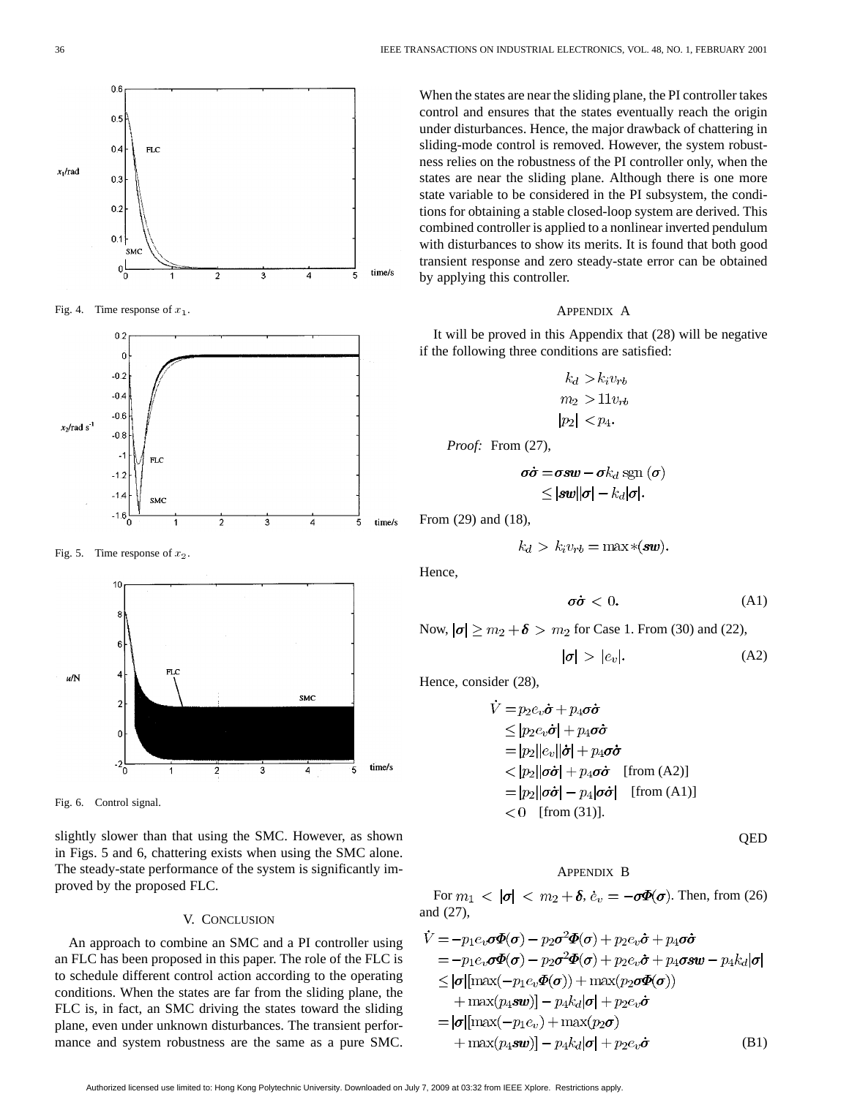

Fig. 4. Time response of  $x_1$ .



Fig. 5. Time response of  $x_2$ .



Fig. 6. Control signal.

slightly slower than that using the SMC. However, as shown in Figs. 5 and 6, chattering exists when using the SMC alone. The steady-state performance of the system is significantly improved by the proposed FLC.

## V. CONCLUSION

An approach to combine an SMC and a PI controller using an FLC has been proposed in this paper. The role of the FLC is to schedule different control action according to the operating conditions. When the states are far from the sliding plane, the FLC is, in fact, an SMC driving the states toward the sliding plane, even under unknown disturbances. The transient performance and system robustness are the same as a pure SMC.

When the states are near the sliding plane, the PI controller takes control and ensures that the states eventually reach the origin under disturbances. Hence, the major drawback of chattering in sliding-mode control is removed. However, the system robustness relies on the robustness of the PI controller only, when the states are near the sliding plane. Although there is one more state variable to be considered in the PI subsystem, the conditions for obtaining a stable closed-loop system are derived. This combined controller is applied to a nonlinear inverted pendulum with disturbances to show its merits. It is found that both good transient response and zero steady-state error can be obtained by applying this controller.

## APPENDIX A

It will be proved in this Appendix that (28) will be negative if the following three conditions are satisfied:

$$
k_d > k_i v_{rb}
$$
  
\n
$$
m_2 > 11 v_{rb}
$$
  
\n
$$
|p_2| < p_4.
$$

*Proof:* From (27),

$$
\sigma\dot{\sigma} = \sigma s w - \sigma k_d \operatorname{sgn}(\sigma)
$$
  
 
$$
\leq |\boldsymbol{s} w| |\sigma| - k_d |\sigma|.
$$

From (29) and (18),

$$
k_d > k_i v_{rb} = \max \ast (s w).
$$

Hence,

$$
\sigma\dot{\sigma} < 0. \tag{A1}
$$

Now,  $|\sigma| \ge m_2 + \delta > m_2$  for Case 1. From (30) and (22),

$$
|\sigma| > |e_v|.\tag{A2}
$$

Hence, consider (28),

$$
\dot{V} = p_2 e_v \dot{\sigma} + p_4 \sigma \dot{\sigma}
$$
\n
$$
\leq |p_2 e_v \dot{\sigma}| + p_4 \sigma \dot{\sigma}
$$
\n
$$
= |p_2||e_v||\dot{\sigma}| + p_4 \sigma \dot{\sigma}
$$
\n
$$
\lt |p_2||\sigma \dot{\sigma}| + p_4 \sigma \dot{\sigma} \quad \text{[from (A2)]}
$$
\n
$$
= |p_2||\sigma \dot{\sigma}| - p_4|\sigma \dot{\sigma}| \quad \text{[from (A1)]}
$$
\n
$$
\lt 0 \quad \text{[from (31)].}
$$

QED

## APPENDIX B

For  $m_1 \, < \, |\sigma| \, < \, m_2 + \delta, \, \dot{e}_v = -\sigma \Phi(\sigma)$ . Then, from (26) and (27),

$$
\dot{V} = -p_1 e_v \sigma \Phi(\sigma) - p_2 \sigma^2 \Phi(\sigma) + p_2 e_v \dot{\sigma} + p_4 \sigma \dot{\sigma}
$$
\n
$$
= -p_1 e_v \sigma \Phi(\sigma) - p_2 \sigma^2 \Phi(\sigma) + p_2 e_v \dot{\sigma} + p_4 \sigma s w - p_4 k_d |\sigma|
$$
\n
$$
\leq |\sigma| [\max(-p_1 e_v \Phi(\sigma)) + \max(p_2 \sigma \Phi(\sigma))
$$
\n
$$
+ \max(p_4 s w)] - p_4 k_d |\sigma| + p_2 e_v \dot{\sigma}
$$
\n
$$
= |\sigma| [\max(-p_1 e_v) + \max(p_2 \sigma)
$$
\n
$$
+ \max(p_4 s w)] - p_4 k_d |\sigma| + p_2 e_v \dot{\sigma}
$$
\n(B1)